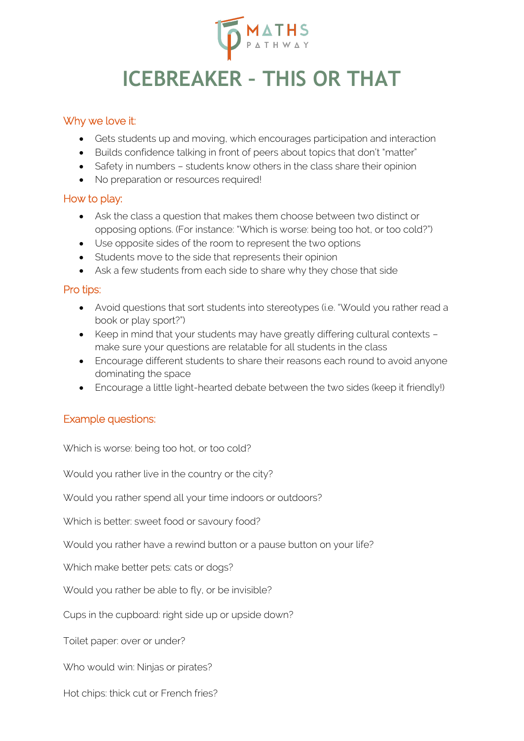

# **ICEBREAKER – THIS OR THAT**

#### Why we love it:

- Gets students up and moving, which encourages participation and interaction
- Builds confidence talking in front of peers about topics that don't "matter"
- Safety in numbers students know others in the class share their opinion
- No preparation or resources required!

#### How to play:

- Ask the class a question that makes them choose between two distinct or opposing options. (For instance: "Which is worse: being too hot, or too cold?")
- Use opposite sides of the room to represent the two options
- Students move to the side that represents their opinion
- Ask a few students from each side to share why they chose that side

#### Pro tips:

- Avoid questions that sort students into stereotypes (i.e. "Would you rather read a book or play sport?")
- Keep in mind that your students may have greatly differing cultural contexts make sure your questions are relatable for all students in the class
- Encourage different students to share their reasons each round to avoid anyone dominating the space
- Encourage a little light-hearted debate between the two sides (keep it friendly!)

#### Example questions:

Which is worse: being too hot, or too cold?

Would you rather live in the country or the city?

Would you rather spend all your time indoors or outdoors?

Which is better: sweet food or savoury food?

Would you rather have a rewind button or a pause button on your life?

Which make better pets: cats or dogs?

Would you rather be able to fly, or be invisible?

Cups in the cupboard: right side up or upside down?

Toilet paper: over or under?

Who would win: Ninjas or pirates?

Hot chips: thick cut or French fries?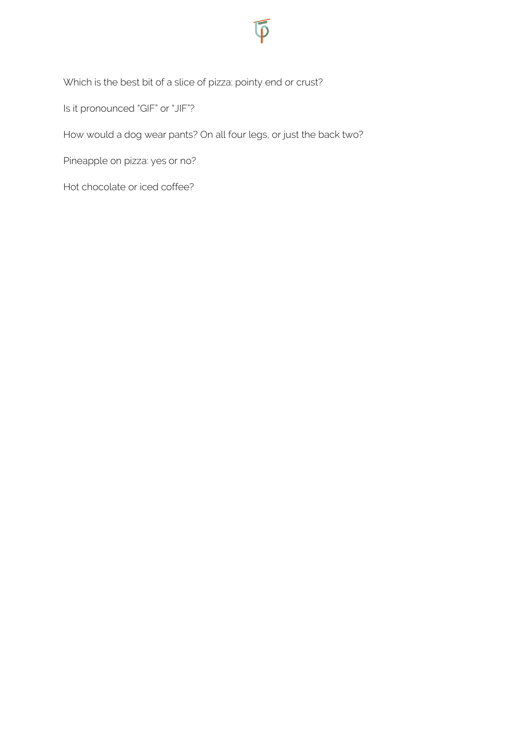

Is it pronounced "GIF" or "JIF"?

How would a dog wear pants? On all four legs, or just the back two?

Pineapple on pizza: yes or no?

Hot chocolate or iced coffee?